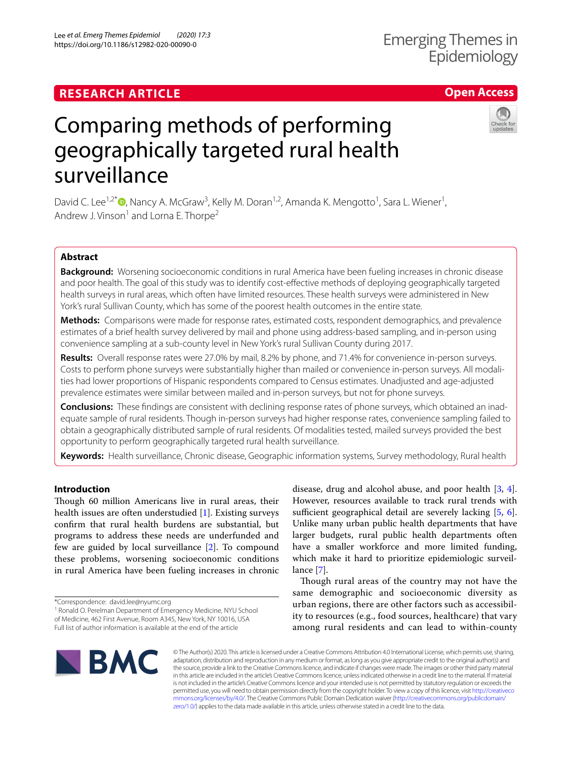# **RESEARCH ARTICLE**

# Comparing methods of performing geographically targeted rural health surveillance

David C. Lee<sup>1,2\*</sup><sup>®</sup>[,](http://orcid.org/0000-0002-7202-1893) Nancy A. McGraw<sup>3</sup>, Kelly M. Doran<sup>1,2</sup>, Amanda K. Mengotto<sup>1</sup>, Sara L. Wiener<sup>1</sup>, Andrew J. Vinson<sup>1</sup> and Lorna E. Thorpe<sup>2</sup>

# **Abstract**

**Background:** Worsening socioeconomic conditions in rural America have been fueling increases in chronic disease and poor health. The goal of this study was to identify cost-efective methods of deploying geographically targeted health surveys in rural areas, which often have limited resources. These health surveys were administered in New York's rural Sullivan County, which has some of the poorest health outcomes in the entire state.

**Methods:** Comparisons were made for response rates, estimated costs, respondent demographics, and prevalence estimates of a brief health survey delivered by mail and phone using address-based sampling, and in-person using convenience sampling at a sub-county level in New York's rural Sullivan County during 2017.

**Results:** Overall response rates were 27.0% by mail, 8.2% by phone, and 71.4% for convenience in-person surveys. Costs to perform phone surveys were substantially higher than mailed or convenience in-person surveys. All modalities had lower proportions of Hispanic respondents compared to Census estimates. Unadjusted and age-adjusted prevalence estimates were similar between mailed and in-person surveys, but not for phone surveys.

**Conclusions:** These fndings are consistent with declining response rates of phone surveys, which obtained an inadequate sample of rural residents. Though in-person surveys had higher response rates, convenience sampling failed to obtain a geographically distributed sample of rural residents. Of modalities tested, mailed surveys provided the best opportunity to perform geographically targeted rural health surveillance.

**Keywords:** Health surveillance, Chronic disease, Geographic information systems, Survey methodology, Rural health

# **Introduction**

Though 60 million Americans live in rural areas, their health issues are often understudied [\[1\]](#page-8-0). Existing surveys confrm that rural health burdens are substantial, but programs to address these needs are underfunded and few are guided by local surveillance [\[2\]](#page-8-1). To compound these problems, worsening socioeconomic conditions in rural America have been fueling increases in chronic

\*Correspondence: david.lee@nyumc.org

**BMC** 

<sup>1</sup> Ronald O. Perelman Department of Emergency Medicine, NYU School of Medicine, 462 First Avenue, Room A345, New York, NY 10016, USA Full list of author information is available at the end of the article

disease, drug and alcohol abuse, and poor health [[3](#page-8-2), [4](#page-8-3)]. However, resources available to track rural trends with sufficient geographical detail are severely lacking  $[5, 6]$  $[5, 6]$  $[5, 6]$  $[5, 6]$ . Unlike many urban public health departments that have larger budgets, rural public health departments often have a smaller workforce and more limited funding, which make it hard to prioritize epidemiologic surveillance [[7](#page-8-6)].

Though rural areas of the country may not have the same demographic and socioeconomic diversity as urban regions, there are other factors such as accessibility to resources (e.g., food sources, healthcare) that vary among rural residents and can lead to within-county

© The Author(s) 2020. This article is licensed under a Creative Commons Attribution 4.0 International License, which permits use, sharing, adaptation, distribution and reproduction in any medium or format, as long as you give appropriate credit to the original author(s) and the source, provide a link to the Creative Commons licence, and indicate if changes were made. The images or other third party material in this article are included in the article's Creative Commons licence, unless indicated otherwise in a credit line to the material. If material is not included in the article's Creative Commons licence and your intended use is not permitted by statutory regulation or exceeds the permitted use, you will need to obtain permission directly from the copyright holder. To view a copy of this licence, visit [http://creativeco](http://creativecommons.org/licenses/by/4.0/) [mmons.org/licenses/by/4.0/.](http://creativecommons.org/licenses/by/4.0/) The Creative Commons Public Domain Dedication waiver ([http://creativecommons.org/publicdomain/](http://creativecommons.org/publicdomain/zero/1.0/) [zero/1.0/\)](http://creativecommons.org/publicdomain/zero/1.0/) applies to the data made available in this article, unless otherwise stated in a credit line to the data.







**Open Access**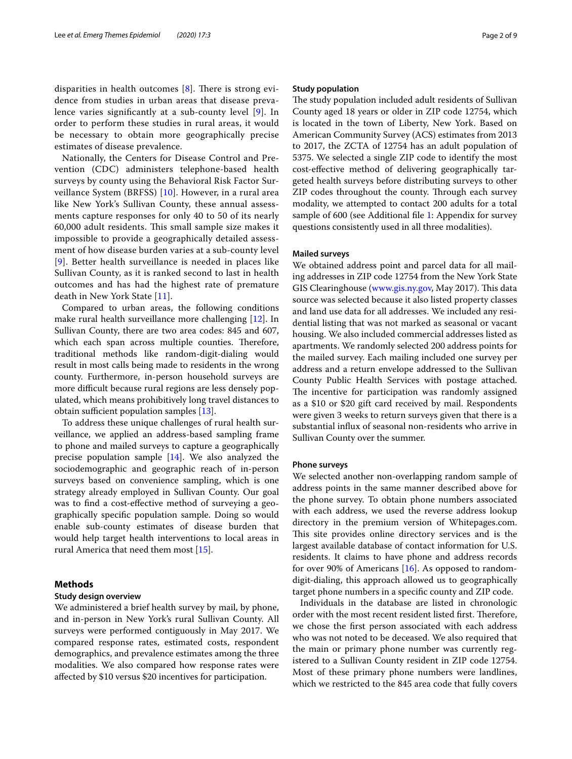disparities in health outcomes  $[8]$  $[8]$ . There is strong evidence from studies in urban areas that disease prevalence varies signifcantly at a sub-county level [[9\]](#page-8-8). In order to perform these studies in rural areas, it would be necessary to obtain more geographically precise estimates of disease prevalence.

Nationally, the Centers for Disease Control and Prevention (CDC) administers telephone-based health surveys by county using the Behavioral Risk Factor Surveillance System (BRFSS) [[10\]](#page-8-9). However, in a rural area like New York's Sullivan County, these annual assessments capture responses for only 40 to 50 of its nearly 60,000 adult residents. This small sample size makes it impossible to provide a geographically detailed assessment of how disease burden varies at a sub-county level [[9](#page-8-8)]. Better health surveillance is needed in places like Sullivan County, as it is ranked second to last in health outcomes and has had the highest rate of premature death in New York State [[11](#page-8-10)].

Compared to urban areas, the following conditions make rural health surveillance more challenging [\[12](#page-8-11)]. In Sullivan County, there are two area codes: 845 and 607, which each span across multiple counties. Therefore, traditional methods like random-digit-dialing would result in most calls being made to residents in the wrong county. Furthermore, in-person household surveys are more difficult because rural regions are less densely populated, which means prohibitively long travel distances to obtain sufficient population samples  $[13]$  $[13]$ .

To address these unique challenges of rural health surveillance, we applied an address-based sampling frame to phone and mailed surveys to capture a geographically precise population sample [[14\]](#page-8-13). We also analyzed the sociodemographic and geographic reach of in-person surveys based on convenience sampling, which is one strategy already employed in Sullivan County. Our goal was to fnd a cost-efective method of surveying a geographically specifc population sample. Doing so would enable sub-county estimates of disease burden that would help target health interventions to local areas in rural America that need them most [[15](#page-8-14)].

# **Methods**

# **Study design overview**

We administered a brief health survey by mail, by phone, and in-person in New York's rural Sullivan County. All surveys were performed contiguously in May 2017. We compared response rates, estimated costs, respondent demographics, and prevalence estimates among the three modalities. We also compared how response rates were afected by \$10 versus \$20 incentives for participation.

# **Study population**

The study population included adult residents of Sullivan County aged 18 years or older in ZIP code 12754, which is located in the town of Liberty, New York. Based on American Community Survey (ACS) estimates from 2013 to 2017, the ZCTA of 12754 has an adult population of 5375. We selected a single ZIP code to identify the most cost-efective method of delivering geographically targeted health surveys before distributing surveys to other ZIP codes throughout the county. Through each survey modality, we attempted to contact 200 adults for a total sample of 600 (see Additional file [1](#page-7-0): Appendix for survey questions consistently used in all three modalities).

# **Mailed surveys**

We obtained address point and parcel data for all mailing addresses in ZIP code 12754 from the New York State GIS Clearinghouse [\(www.gis.ny.gov](http://www.gis.ny.gov), May 2017). This data source was selected because it also listed property classes and land use data for all addresses. We included any residential listing that was not marked as seasonal or vacant housing. We also included commercial addresses listed as apartments. We randomly selected 200 address points for the mailed survey. Each mailing included one survey per address and a return envelope addressed to the Sullivan County Public Health Services with postage attached. The incentive for participation was randomly assigned as a \$10 or \$20 gift card received by mail. Respondents were given 3 weeks to return surveys given that there is a substantial infux of seasonal non-residents who arrive in Sullivan County over the summer.

# **Phone surveys**

We selected another non-overlapping random sample of address points in the same manner described above for the phone survey. To obtain phone numbers associated with each address, we used the reverse address lookup directory in the premium version of Whitepages.com. This site provides online directory services and is the largest available database of contact information for U.S. residents. It claims to have phone and address records for over 90% of Americans [[16](#page-8-15)]. As opposed to randomdigit-dialing, this approach allowed us to geographically target phone numbers in a specifc county and ZIP code.

Individuals in the database are listed in chronologic order with the most recent resident listed first. Therefore, we chose the frst person associated with each address who was not noted to be deceased. We also required that the main or primary phone number was currently registered to a Sullivan County resident in ZIP code 12754. Most of these primary phone numbers were landlines, which we restricted to the 845 area code that fully covers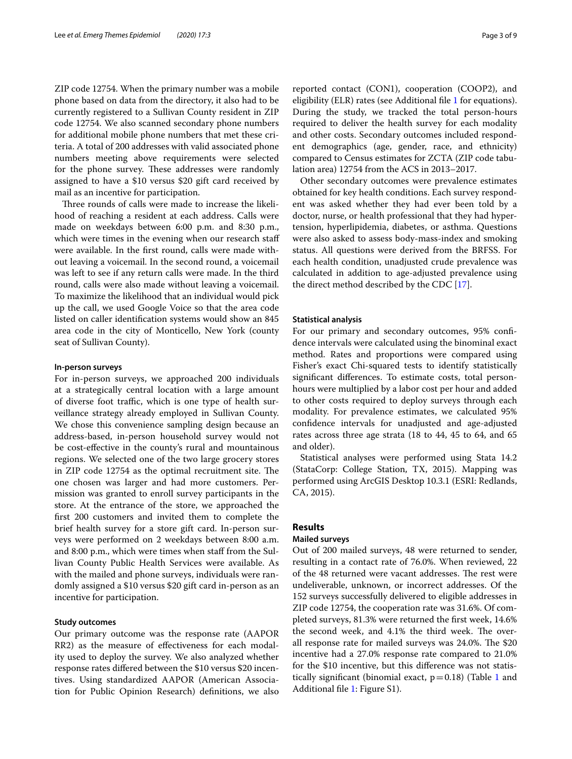ZIP code 12754. When the primary number was a mobile phone based on data from the directory, it also had to be currently registered to a Sullivan County resident in ZIP code 12754. We also scanned secondary phone numbers for additional mobile phone numbers that met these criteria. A total of 200 addresses with valid associated phone numbers meeting above requirements were selected for the phone survey. These addresses were randomly assigned to have a \$10 versus \$20 gift card received by mail as an incentive for participation.

Three rounds of calls were made to increase the likelihood of reaching a resident at each address. Calls were made on weekdays between 6:00 p.m. and 8:30 p.m., which were times in the evening when our research staff were available. In the frst round, calls were made without leaving a voicemail. In the second round, a voicemail was left to see if any return calls were made. In the third round, calls were also made without leaving a voicemail. To maximize the likelihood that an individual would pick up the call, we used Google Voice so that the area code listed on caller identifcation systems would show an 845 area code in the city of Monticello, New York (county seat of Sullivan County).

# **In‑person surveys**

For in-person surveys, we approached 200 individuals at a strategically central location with a large amount of diverse foot traffic, which is one type of health surveillance strategy already employed in Sullivan County. We chose this convenience sampling design because an address-based, in-person household survey would not be cost-efective in the county's rural and mountainous regions. We selected one of the two large grocery stores in ZIP code 12754 as the optimal recruitment site. The one chosen was larger and had more customers. Permission was granted to enroll survey participants in the store. At the entrance of the store, we approached the frst 200 customers and invited them to complete the brief health survey for a store gift card. In-person surveys were performed on 2 weekdays between 8:00 a.m. and 8:00 p.m., which were times when staf from the Sullivan County Public Health Services were available. As with the mailed and phone surveys, individuals were randomly assigned a \$10 versus \$20 gift card in-person as an incentive for participation.

# **Study outcomes**

Our primary outcome was the response rate (AAPOR RR2) as the measure of efectiveness for each modality used to deploy the survey. We also analyzed whether response rates difered between the \$10 versus \$20 incentives. Using standardized AAPOR (American Association for Public Opinion Research) defnitions, we also reported contact (CON1), cooperation (COOP2), and eligibility (ELR) rates (see Additional fle [1](#page-7-0) for equations). During the study, we tracked the total person-hours required to deliver the health survey for each modality and other costs. Secondary outcomes included respondent demographics (age, gender, race, and ethnicity)

lation area) 12754 from the ACS in 2013–2017. Other secondary outcomes were prevalence estimates obtained for key health conditions. Each survey respondent was asked whether they had ever been told by a doctor, nurse, or health professional that they had hypertension, hyperlipidemia, diabetes, or asthma. Questions were also asked to assess body-mass-index and smoking status. All questions were derived from the BRFSS. For each health condition, unadjusted crude prevalence was calculated in addition to age-adjusted prevalence using the direct method described by the CDC [\[17](#page-8-16)].

compared to Census estimates for ZCTA (ZIP code tabu-

#### **Statistical analysis**

For our primary and secondary outcomes, 95% confdence intervals were calculated using the binominal exact method. Rates and proportions were compared using Fisher's exact Chi-squared tests to identify statistically signifcant diferences. To estimate costs, total personhours were multiplied by a labor cost per hour and added to other costs required to deploy surveys through each modality. For prevalence estimates, we calculated 95% confdence intervals for unadjusted and age-adjusted rates across three age strata (18 to 44, 45 to 64, and 65 and older).

Statistical analyses were performed using Stata 14.2 (StataCorp: College Station, TX, 2015). Mapping was performed using ArcGIS Desktop 10.3.1 (ESRI: Redlands, CA, 2015).

# **Results**

# **Mailed surveys**

Out of 200 mailed surveys, 48 were returned to sender, resulting in a contact rate of 76.0%. When reviewed, 22 of the 48 returned were vacant addresses. The rest were undeliverable, unknown, or incorrect addresses. Of the 152 surveys successfully delivered to eligible addresses in ZIP code 12754, the cooperation rate was 31.6%. Of completed surveys, 81.3% were returned the frst week, 14.6% the second week, and 4.1% the third week. The overall response rate for mailed surveys was 24.0%. The \$20 incentive had a 27.0% response rate compared to 21.0% for the \$10 incentive, but this diference was not statistically significant (binomial exact,  $p=0.18$  $p=0.18$  $p=0.18$ ) (Table 1 and Additional fle [1](#page-7-0): Figure S1).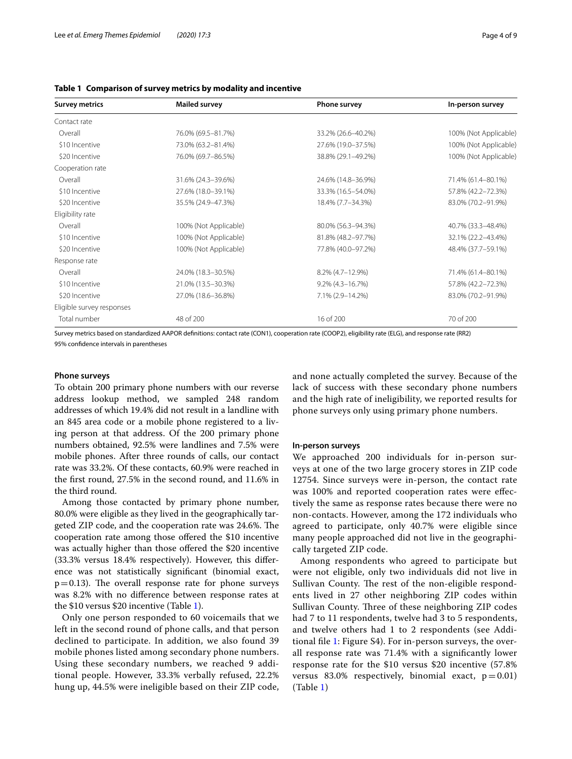| <b>Survey metrics</b>     | <b>Mailed survey</b>  | <b>Phone survey</b>    | In-person survey      |
|---------------------------|-----------------------|------------------------|-----------------------|
| Contact rate              |                       |                        |                       |
| Overall                   | 76.0% (69.5-81.7%)    | 33.2% (26.6-40.2%)     | 100% (Not Applicable) |
| \$10 Incentive            | 73.0% (63.2-81.4%)    | 27.6% (19.0-37.5%)     | 100% (Not Applicable) |
| \$20 Incentive            | 76.0% (69.7-86.5%)    | 38.8% (29.1-49.2%)     | 100% (Not Applicable) |
| Cooperation rate          |                       |                        |                       |
| Overall                   | 31.6% (24.3-39.6%)    | 24.6% (14.8-36.9%)     | 71.4% (61.4-80.1%)    |
| \$10 Incentive            | 27.6% (18.0-39.1%)    | 33.3% (16.5-54.0%)     | 57.8% (42.2-72.3%)    |
| \$20 Incentive            | 35.5% (24.9-47.3%)    | 18.4% (7.7-34.3%)      | 83.0% (70.2-91.9%)    |
| Eligibility rate          |                       |                        |                       |
| Overall                   | 100% (Not Applicable) | 80.0% (56.3-94.3%)     | 40.7% (33.3-48.4%)    |
| \$10 Incentive            | 100% (Not Applicable) | 81.8% (48.2-97.7%)     | 32.1% (22.2-43.4%)    |
| \$20 Incentive            | 100% (Not Applicable) | 77.8% (40.0-97.2%)     | 48.4% (37.7-59.1%)    |
| Response rate             |                       |                        |                       |
| Overall                   | 24.0% (18.3-30.5%)    | 8.2% (4.7-12.9%)       | 71.4% (61.4-80.1%)    |
| \$10 Incentive            | 21.0% (13.5-30.3%)    | $9.2\% (4.3 - 16.7\%)$ | 57.8% (42.2-72.3%)    |
| \$20 Incentive            | 27.0% (18.6-36.8%)    | 7.1% (2.9-14.2%)       | 83.0% (70.2-91.9%)    |
| Eligible survey responses |                       |                        |                       |
| Total number              | 48 of 200             | 16 of 200              | 70 of 200             |

# <span id="page-3-0"></span>**Table 1 Comparison of survey metrics by modality and incentive**

Survey metrics based on standardized AAPOR defnitions: contact rate (CON1), cooperation rate (COOP2), eligibility rate (ELG), and response rate (RR2) 95% confdence intervals in parentheses

# **Phone surveys**

To obtain 200 primary phone numbers with our reverse address lookup method, we sampled 248 random addresses of which 19.4% did not result in a landline with an 845 area code or a mobile phone registered to a living person at that address. Of the 200 primary phone numbers obtained, 92.5% were landlines and 7.5% were mobile phones. After three rounds of calls, our contact rate was 33.2%. Of these contacts, 60.9% were reached in the frst round, 27.5% in the second round, and 11.6% in the third round.

Among those contacted by primary phone number, 80.0% were eligible as they lived in the geographically targeted ZIP code, and the cooperation rate was 24.6%. The cooperation rate among those ofered the \$10 incentive was actually higher than those offered the \$20 incentive (33.3% versus 18.4% respectively). However, this diference was not statistically signifcant (binomial exact,  $p=0.13$ ). The overall response rate for phone surveys was 8.2% with no diference between response rates at the \$10 versus \$20 incentive (Table [1](#page-3-0)).

Only one person responded to 60 voicemails that we left in the second round of phone calls, and that person declined to participate. In addition, we also found 39 mobile phones listed among secondary phone numbers. Using these secondary numbers, we reached 9 additional people. However, 33.3% verbally refused, 22.2% hung up, 44.5% were ineligible based on their ZIP code, and none actually completed the survey. Because of the lack of success with these secondary phone numbers and the high rate of ineligibility, we reported results for phone surveys only using primary phone numbers.

### **In‑person surveys**

We approached 200 individuals for in-person surveys at one of the two large grocery stores in ZIP code 12754. Since surveys were in-person, the contact rate was 100% and reported cooperation rates were efectively the same as response rates because there were no non-contacts. However, among the 172 individuals who agreed to participate, only 40.7% were eligible since many people approached did not live in the geographically targeted ZIP code.

Among respondents who agreed to participate but were not eligible, only two individuals did not live in Sullivan County. The rest of the non-eligible respondents lived in 27 other neighboring ZIP codes within Sullivan County. Three of these neighboring ZIP codes had 7 to 11 respondents, twelve had 3 to 5 respondents, and twelve others had 1 to 2 respondents (see Additional fle [1:](#page-7-0) Figure S4). For in-person surveys, the overall response rate was 71.4% with a signifcantly lower response rate for the \$10 versus \$20 incentive (57.8% versus 83.0% respectively, binomial exact,  $p = 0.01$ ) (Table [1\)](#page-3-0)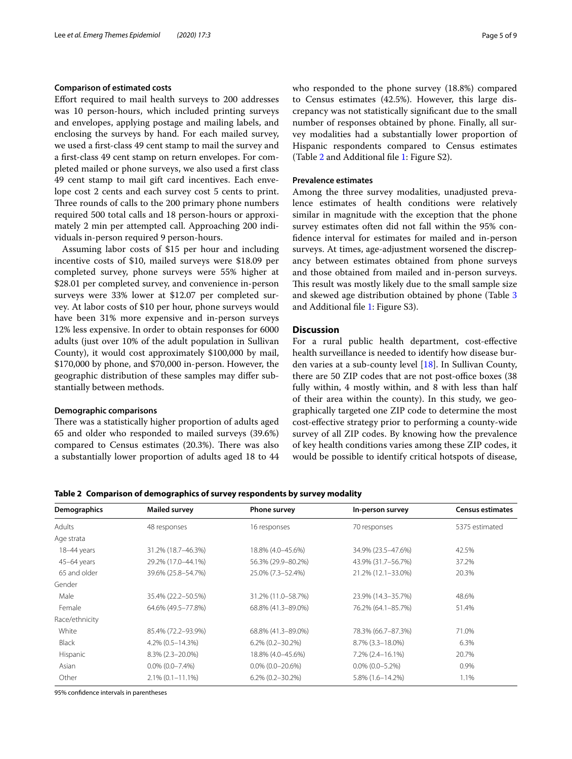# **Comparison of estimated costs**

Efort required to mail health surveys to 200 addresses was 10 person-hours, which included printing surveys and envelopes, applying postage and mailing labels, and enclosing the surveys by hand. For each mailed survey, we used a frst-class 49 cent stamp to mail the survey and a frst-class 49 cent stamp on return envelopes. For completed mailed or phone surveys, we also used a frst class 49 cent stamp to mail gift card incentives. Each envelope cost 2 cents and each survey cost 5 cents to print. Three rounds of calls to the 200 primary phone numbers required 500 total calls and 18 person-hours or approximately 2 min per attempted call. Approaching 200 individuals in-person required 9 person-hours.

Assuming labor costs of \$15 per hour and including incentive costs of \$10, mailed surveys were \$18.09 per completed survey, phone surveys were 55% higher at \$28.01 per completed survey, and convenience in-person surveys were 33% lower at \$12.07 per completed survey. At labor costs of \$10 per hour, phone surveys would have been 31% more expensive and in-person surveys 12% less expensive. In order to obtain responses for 6000 adults (just over 10% of the adult population in Sullivan County), it would cost approximately \$100,000 by mail, \$170,000 by phone, and \$70,000 in-person. However, the geographic distribution of these samples may difer substantially between methods.

# **Demographic comparisons**

There was a statistically higher proportion of adults aged 65 and older who responded to mailed surveys (39.6%) compared to Census estimates (20.3%). There was also a substantially lower proportion of adults aged 18 to 44 who responded to the phone survey (18.8%) compared to Census estimates (42.5%). However, this large discrepancy was not statistically signifcant due to the small number of responses obtained by phone. Finally, all survey modalities had a substantially lower proportion of Hispanic respondents compared to Census estimates (Table [2](#page-4-0) and Additional fle [1:](#page-7-0) Figure S2).

# **Prevalence estimates**

Among the three survey modalities, unadjusted prevalence estimates of health conditions were relatively similar in magnitude with the exception that the phone survey estimates often did not fall within the 95% confdence interval for estimates for mailed and in-person surveys. At times, age-adjustment worsened the discrepancy between estimates obtained from phone surveys and those obtained from mailed and in-person surveys. This result was mostly likely due to the small sample size and skewed age distribution obtained by phone (Table [3](#page-5-0) and Additional fle [1:](#page-7-0) Figure S3).

# **Discussion**

For a rural public health department, cost-efective health surveillance is needed to identify how disease burden varies at a sub-county level [\[18\]](#page-8-17). In Sullivan County, there are 50 ZIP codes that are not post-office boxes (38) fully within, 4 mostly within, and 8 with less than half of their area within the county). In this study, we geographically targeted one ZIP code to determine the most cost-efective strategy prior to performing a county-wide survey of all ZIP codes. By knowing how the prevalence of key health conditions varies among these ZIP codes, it would be possible to identify critical hotspots of disease,

# <span id="page-4-0"></span>**Table 2 Comparison of demographics of survey respondents by survey modality**

| Demographics   | <b>Mailed survey</b> | <b>Phone survey</b>      | In-person survey   | <b>Census estimates</b> |
|----------------|----------------------|--------------------------|--------------------|-------------------------|
| Adults         | 48 responses         | 16 responses             | 70 responses       | 5375 estimated          |
| Age strata     |                      |                          |                    |                         |
| 18-44 years    | 31.2% (18.7-46.3%)   | 18.8% (4.0–45.6%)        | 34.9% (23.5–47.6%) | 42.5%                   |
| 45-64 years    | 29.2% (17.0-44.1%)   | 56.3% (29.9-80.2%)       | 43.9% (31.7-56.7%) | 37.2%                   |
| 65 and older   | 39.6% (25.8-54.7%)   | 25.0% (7.3-52.4%)        | 21.2% (12.1-33.0%) | 20.3%                   |
| Gender         |                      |                          |                    |                         |
| Male           | 35.4% (22.2–50.5%)   | 31.2% (11.0-58.7%)       | 23.9% (14.3-35.7%) | 48.6%                   |
| Female         | 64.6% (49.5-77.8%)   | 68.8% (41.3-89.0%)       | 76.2% (64.1-85.7%) | 51.4%                   |
| Race/ethnicity |                      |                          |                    |                         |
| White          | 85.4% (72.2-93.9%)   | 68.8% (41.3-89.0%)       | 78.3% (66.7-87.3%) | 71.0%                   |
| <b>Black</b>   | 4.2% (0.5-14.3%)     | $6.2\%$ $(0.2 - 30.2\%)$ | 8.7% (3.3-18.0%)   | 6.3%                    |
| Hispanic       | 8.3% (2.3-20.0%)     | 18.8% (4.0-45.6%)        | 7.2% (2.4-16.1%)   | 20.7%                   |
| Asian          | $0.0\%$ (0.0-7.4%)   | $0.0\%$ (0.0-20.6%)      | $0.0\%$ (0.0-5.2%) | 0.9%                    |
| Other          | $2.1\%$ (0.1-11.1%)  | $6.2\%$ $(0.2 - 30.2\%)$ | 5.8% (1.6-14.2%)   | 1.1%                    |

95% confdence intervals in parentheses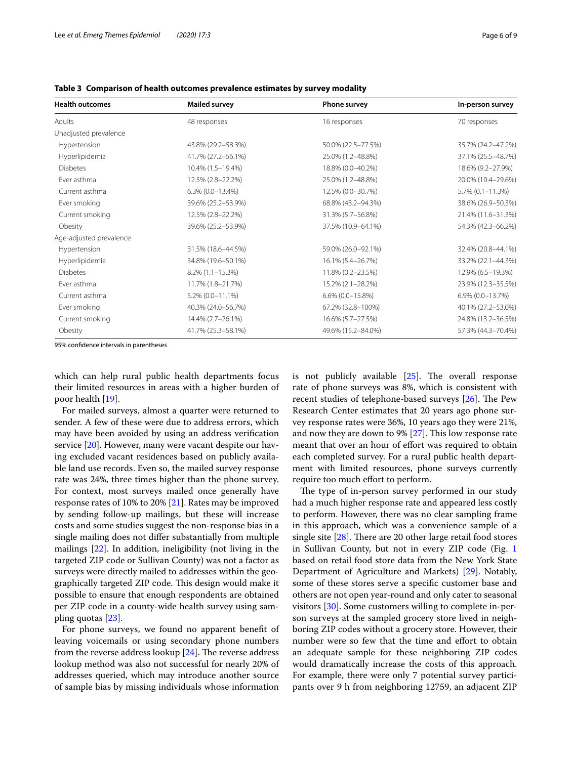| <b>Health outcomes</b>  | <b>Mailed survey</b>   | Phone survey        | In-person survey    |
|-------------------------|------------------------|---------------------|---------------------|
| Adults                  | 48 responses           | 16 responses        | 70 responses        |
| Unadjusted prevalence   |                        |                     |                     |
| Hypertension            | 43.8% (29.2-58.3%)     | 50.0% (22.5-77.5%)  | 35.7% (24.2-47.2%)  |
| Hyperlipidemia          | 41.7% (27.2-56.1%)     | 25.0% (1.2-48.8%)   | 37.1% (25.5-48.7%)  |
| <b>Diabetes</b>         | 10.4% (1.5-19.4%)      | 18.8% (0.0-40.2%)   | 18.6% (9.2-27.9%)   |
| Ever asthma             | 12.5% (2.8-22.2%)      | 25.0% (1.2-48.8%)   | 20.0% (10.4-29.6%)  |
| Current asthma          | $6.3\%$ $(0.0-13.4\%)$ | 12.5% (0.0-30.7%)   | $5.7\%$ (0.1-11.3%) |
| Ever smoking            | 39.6% (25.2-53.9%)     | 68.8% (43.2-94.3%)  | 38.6% (26.9-50.3%)  |
| Current smoking         | 12.5% (2.8-22.2%)      | 31.3% (5.7-56.8%)   | 21.4% (11.6-31.3%)  |
| Obesity                 | 39.6% (25.2-53.9%)     | 37.5% (10.9-64.1%)  | 54.3% (42.3-66.2%)  |
| Age-adjusted prevalence |                        |                     |                     |
| Hypertension            | 31.5% (18.6-44.5%)     | 59.0% (26.0-92.1%)  | 32.4% (20.8-44.1%)  |
| Hyperlipidemia          | 34.8% (19.6-50.1%)     | 16.1% (5.4-26.7%)   | 33.2% (22.1-44.3%)  |
| <b>Diabetes</b>         | 8.2% (1.1-15.3%)       | 11.8% (0.2-23.5%)   | 12.9% (6.5-19.3%)   |
| Ever asthma             | 11.7% (1.8-21.7%)      | 15.2% (2.1-28.2%)   | 23.9% (12.3-35.5%)  |
| Current asthma          | 5.2% (0.0-11.1%)       | $6.6\%$ (0.0-15.8%) | $6.9\%$ (0.0-13.7%) |
| Ever smoking            | 40.3% (24.0-56.7%)     | 67.2% (32.8-100%)   | 40.1% (27.2-53.0%)  |
| Current smoking         | 14.4% (2.7-26.1%)      | 16.6% (5.7-27.5%)   | 24.8% (13.2-36.5%)  |
| Obesity                 | 41.7% (25.3–58.1%)     | 49.6% (15.2-84.0%)  | 57.3% (44.3-70.4%)  |

<span id="page-5-0"></span>**Table 3 Comparison of health outcomes prevalence estimates by survey modality**

95% confdence intervals in parentheses

which can help rural public health departments focus their limited resources in areas with a higher burden of poor health [[19](#page-8-18)].

For mailed surveys, almost a quarter were returned to sender. A few of these were due to address errors, which may have been avoided by using an address verifcation service [[20](#page-8-19)]. However, many were vacant despite our having excluded vacant residences based on publicly available land use records. Even so, the mailed survey response rate was 24%, three times higher than the phone survey. For context, most surveys mailed once generally have response rates of 10% to 20% [[21](#page-8-20)]. Rates may be improved by sending follow-up mailings, but these will increase costs and some studies suggest the non-response bias in a single mailing does not difer substantially from multiple mailings [\[22\]](#page-8-21). In addition, ineligibility (not living in the targeted ZIP code or Sullivan County) was not a factor as surveys were directly mailed to addresses within the geographically targeted ZIP code. This design would make it possible to ensure that enough respondents are obtained per ZIP code in a county-wide health survey using sampling quotas [\[23](#page-8-22)].

For phone surveys, we found no apparent beneft of leaving voicemails or using secondary phone numbers from the reverse address lookup  $[24]$  $[24]$ . The reverse address lookup method was also not successful for nearly 20% of addresses queried, which may introduce another source of sample bias by missing individuals whose information is not publicly available  $[25]$  $[25]$ . The overall response rate of phone surveys was 8%, which is consistent with recent studies of telephone-based surveys  $[26]$  $[26]$  $[26]$ . The Pew Research Center estimates that 20 years ago phone survey response rates were 36%, 10 years ago they were 21%, and now they are down to 9%  $[27]$  $[27]$ . This low response rate meant that over an hour of effort was required to obtain each completed survey. For a rural public health department with limited resources, phone surveys currently require too much effort to perform.

The type of in-person survey performed in our study had a much higher response rate and appeared less costly to perform. However, there was no clear sampling frame in this approach, which was a convenience sample of a single site  $[28]$  $[28]$ . There are 20 other large retail food stores in Sullivan County, but not in every ZIP code (Fig. [1](#page-6-0) based on retail food store data from the New York State Department of Agriculture and Markets) [\[29\]](#page-8-28). Notably, some of these stores serve a specifc customer base and others are not open year-round and only cater to seasonal visitors [\[30](#page-8-29)]. Some customers willing to complete in-person surveys at the sampled grocery store lived in neighboring ZIP codes without a grocery store. However, their number were so few that the time and effort to obtain an adequate sample for these neighboring ZIP codes would dramatically increase the costs of this approach. For example, there were only 7 potential survey participants over 9 h from neighboring 12759, an adjacent ZIP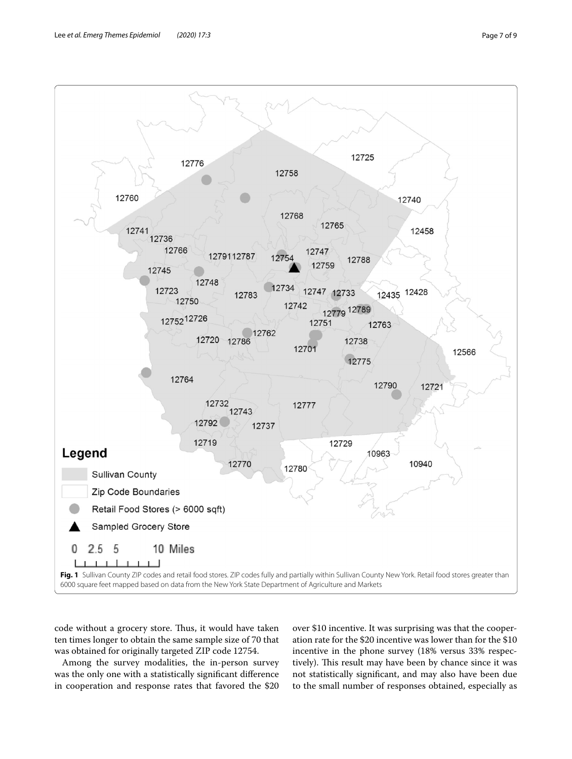

<span id="page-6-0"></span>code without a grocery store. Thus, it would have taken ten times longer to obtain the same sample size of 70 that was obtained for originally targeted ZIP code 12754.

Among the survey modalities, the in-person survey was the only one with a statistically signifcant diference in cooperation and response rates that favored the \$20 over \$10 incentive. It was surprising was that the cooperation rate for the \$20 incentive was lower than for the \$10 incentive in the phone survey (18% versus 33% respectively). This result may have been by chance since it was not statistically signifcant, and may also have been due to the small number of responses obtained, especially as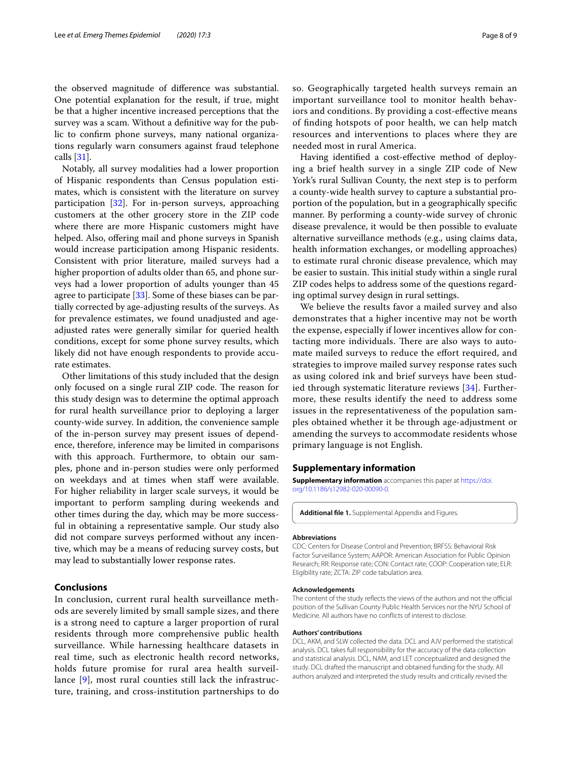the observed magnitude of diference was substantial. One potential explanation for the result, if true, might be that a higher incentive increased perceptions that the survey was a scam. Without a defnitive way for the public to confrm phone surveys, many national organizations regularly warn consumers against fraud telephone calls [\[31\]](#page-8-30).

Notably, all survey modalities had a lower proportion of Hispanic respondents than Census population estimates, which is consistent with the literature on survey participation [[32\]](#page-8-31). For in-person surveys, approaching customers at the other grocery store in the ZIP code where there are more Hispanic customers might have helped. Also, offering mail and phone surveys in Spanish would increase participation among Hispanic residents. Consistent with prior literature, mailed surveys had a higher proportion of adults older than 65, and phone surveys had a lower proportion of adults younger than 45 agree to participate [\[33\]](#page-8-32). Some of these biases can be partially corrected by age-adjusting results of the surveys. As for prevalence estimates, we found unadjusted and ageadjusted rates were generally similar for queried health conditions, except for some phone survey results, which likely did not have enough respondents to provide accurate estimates.

Other limitations of this study included that the design only focused on a single rural ZIP code. The reason for this study design was to determine the optimal approach for rural health surveillance prior to deploying a larger county-wide survey. In addition, the convenience sample of the in-person survey may present issues of dependence, therefore, inference may be limited in comparisons with this approach. Furthermore, to obtain our samples, phone and in-person studies were only performed on weekdays and at times when staff were available. For higher reliability in larger scale surveys, it would be important to perform sampling during weekends and other times during the day, which may be more successful in obtaining a representative sample. Our study also did not compare surveys performed without any incentive, which may be a means of reducing survey costs, but may lead to substantially lower response rates.

# **Conclusions**

In conclusion, current rural health surveillance methods are severely limited by small sample sizes, and there is a strong need to capture a larger proportion of rural residents through more comprehensive public health surveillance. While harnessing healthcare datasets in real time, such as electronic health record networks, holds future promise for rural area health surveillance [[9\]](#page-8-8), most rural counties still lack the infrastructure, training, and cross-institution partnerships to do so. Geographically targeted health surveys remain an important surveillance tool to monitor health behaviors and conditions. By providing a cost-efective means of fnding hotspots of poor health, we can help match resources and interventions to places where they are needed most in rural America.

Having identifed a cost-efective method of deploying a brief health survey in a single ZIP code of New York's rural Sullivan County, the next step is to perform a county-wide health survey to capture a substantial proportion of the population, but in a geographically specifc manner. By performing a county-wide survey of chronic disease prevalence, it would be then possible to evaluate alternative surveillance methods (e.g., using claims data, health information exchanges, or modelling approaches) to estimate rural chronic disease prevalence, which may be easier to sustain. This initial study within a single rural ZIP codes helps to address some of the questions regarding optimal survey design in rural settings.

We believe the results favor a mailed survey and also demonstrates that a higher incentive may not be worth the expense, especially if lower incentives allow for contacting more individuals. There are also ways to automate mailed surveys to reduce the efort required, and strategies to improve mailed survey response rates such as using colored ink and brief surveys have been studied through systematic literature reviews [[34\]](#page-8-33). Furthermore, these results identify the need to address some issues in the representativeness of the population samples obtained whether it be through age-adjustment or amending the surveys to accommodate residents whose primary language is not English.

# **Supplementary information**

**Supplementary information** accompanies this paper at [https://doi.](https://doi.org/10.1186/s12982-020-00090-0) [org/10.1186/s12982-020-00090-0](https://doi.org/10.1186/s12982-020-00090-0).

<span id="page-7-0"></span>**Additional fle 1.** Supplemental Appendix and Figures.

# **Abbreviations**

CDC: Centers for Disease Control and Prevention; BRFSS: Behavioral Risk Factor Surveillance System; AAPOR: American Association for Public Opinion Research; RR: Response rate; CON: Contact rate; COOP: Cooperation rate; ELR: Eligibility rate; ZCTA: ZIP code tabulation area.

# **Acknowledgements**

The content of the study reflects the views of the authors and not the official position of the Sullivan County Public Health Services nor the NYU School of Medicine. All authors have no conficts of interest to disclose.

#### **Authors' contributions**

DCL, AKM, and SLW collected the data. DCL and AJV performed the statistical analysis. DCL takes full responsibility for the accuracy of the data collection and statistical analysis. DCL, NAM, and LET conceptualized and designed the study. DCL drafted the manuscript and obtained funding for the study. All authors analyzed and interpreted the study results and critically revised the